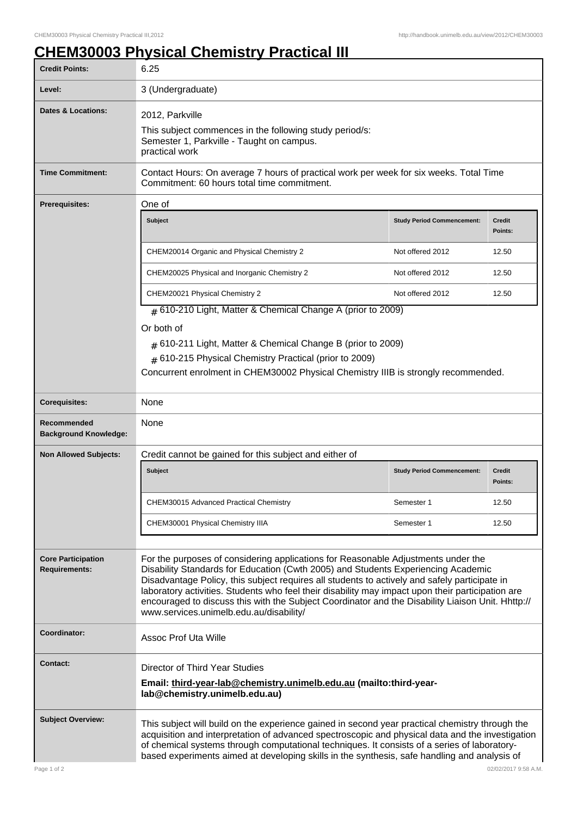## **CHEM30003 Physical Chemistry Practical III**

| <b>Credit Points:</b>                             | 6.25                                                                                                                                                                                                                                                                                                                                                                                                                                                                                                                         |                                   |                          |
|---------------------------------------------------|------------------------------------------------------------------------------------------------------------------------------------------------------------------------------------------------------------------------------------------------------------------------------------------------------------------------------------------------------------------------------------------------------------------------------------------------------------------------------------------------------------------------------|-----------------------------------|--------------------------|
| Level:                                            | 3 (Undergraduate)                                                                                                                                                                                                                                                                                                                                                                                                                                                                                                            |                                   |                          |
| <b>Dates &amp; Locations:</b>                     | 2012, Parkville<br>This subject commences in the following study period/s:<br>Semester 1, Parkville - Taught on campus.<br>practical work                                                                                                                                                                                                                                                                                                                                                                                    |                                   |                          |
| <b>Time Commitment:</b>                           | Contact Hours: On average 7 hours of practical work per week for six weeks. Total Time<br>Commitment: 60 hours total time commitment.                                                                                                                                                                                                                                                                                                                                                                                        |                                   |                          |
| One of<br><b>Prerequisites:</b>                   |                                                                                                                                                                                                                                                                                                                                                                                                                                                                                                                              |                                   |                          |
|                                                   | <b>Subject</b>                                                                                                                                                                                                                                                                                                                                                                                                                                                                                                               | <b>Study Period Commencement:</b> | Credit<br>Points:        |
|                                                   | CHEM20014 Organic and Physical Chemistry 2                                                                                                                                                                                                                                                                                                                                                                                                                                                                                   | Not offered 2012                  | 12.50                    |
|                                                   | CHEM20025 Physical and Inorganic Chemistry 2                                                                                                                                                                                                                                                                                                                                                                                                                                                                                 | Not offered 2012                  | 12.50                    |
|                                                   | CHEM20021 Physical Chemistry 2                                                                                                                                                                                                                                                                                                                                                                                                                                                                                               | Not offered 2012                  | 12.50                    |
|                                                   | $#$ 610-210 Light, Matter & Chemical Change A (prior to 2009)                                                                                                                                                                                                                                                                                                                                                                                                                                                                |                                   |                          |
|                                                   | Or both of<br>$#$ 610-211 Light, Matter & Chemical Change B (prior to 2009)<br># 610-215 Physical Chemistry Practical (prior to 2009)<br>Concurrent enrolment in CHEM30002 Physical Chemistry IIIB is strongly recommended.                                                                                                                                                                                                                                                                                                  |                                   |                          |
| <b>Corequisites:</b>                              | None                                                                                                                                                                                                                                                                                                                                                                                                                                                                                                                         |                                   |                          |
| Recommended<br><b>Background Knowledge:</b>       | None                                                                                                                                                                                                                                                                                                                                                                                                                                                                                                                         |                                   |                          |
| <b>Non Allowed Subjects:</b>                      | Credit cannot be gained for this subject and either of                                                                                                                                                                                                                                                                                                                                                                                                                                                                       |                                   |                          |
|                                                   | <b>Subject</b>                                                                                                                                                                                                                                                                                                                                                                                                                                                                                                               | <b>Study Period Commencement:</b> | <b>Credit</b><br>Points: |
|                                                   | CHEM30015 Advanced Practical Chemistry                                                                                                                                                                                                                                                                                                                                                                                                                                                                                       | Semester 1                        | 12.50                    |
|                                                   | CHEM30001 Physical Chemistry IIIA                                                                                                                                                                                                                                                                                                                                                                                                                                                                                            | Semester 1                        | 12.50                    |
| <b>Core Participation</b><br><b>Requirements:</b> | For the purposes of considering applications for Reasonable Adjustments under the<br>Disability Standards for Education (Cwth 2005) and Students Experiencing Academic<br>Disadvantage Policy, this subject requires all students to actively and safely participate in<br>laboratory activities. Students who feel their disability may impact upon their participation are<br>encouraged to discuss this with the Subject Coordinator and the Disability Liaison Unit. Hhttp://<br>www.services.unimelb.edu.au/disability/ |                                   |                          |
| Coordinator:                                      | <b>Assoc Prof Uta Wille</b>                                                                                                                                                                                                                                                                                                                                                                                                                                                                                                  |                                   |                          |
| <b>Contact:</b>                                   | Director of Third Year Studies<br>Email: third-year-lab@chemistry.unimelb.edu.au (mailto:third-year-<br>lab@chemistry.unimelb.edu.au)                                                                                                                                                                                                                                                                                                                                                                                        |                                   |                          |
| <b>Subject Overview:</b>                          | This subject will build on the experience gained in second year practical chemistry through the<br>acquisition and interpretation of advanced spectroscopic and physical data and the investigation<br>of chemical systems through computational techniques. It consists of a series of laboratory-<br>based experiments aimed at developing skills in the synthesis, safe handling and analysis of                                                                                                                          |                                   |                          |